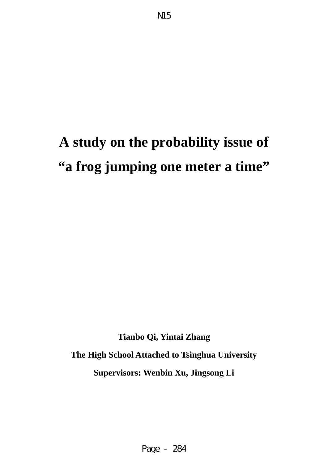# **A study on the probability issue of "a frog jumping one meter a time"**

**Tianbo Qi, Yintai Zhang The High School Attached to Tsinghua University Supervisors: Wenbin Xu, Jingsong Li**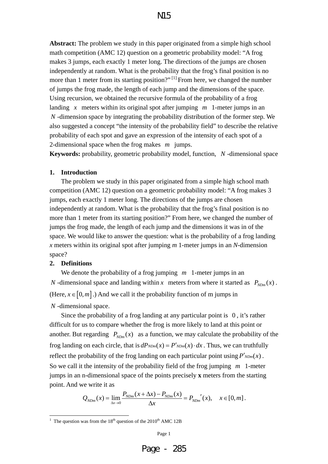**Abstract:** The problem we study in this paper originated from a simple high school math competition (AMC 12) question on a geometric probability model: "A frog makes 3 jumps, each exactly 1 meter long. The directions of the jumps are chosen independently at random. What is the probability that the frog's final position is no more than 1 meter from its starting position?"<sup>[1]</sup> From here, we changed the number of jumps the frog made, the length of each jump and the dimensions of the space. Using recursion, we obtained the recursive formula of the probability of a frog landing *x* meters within its original spot after jumping *m* 1-meter jumps in an *N* -dimension space by integrating the probability distribution of the former step. We also suggested a concept "the intensity of the probability field" to describe the relative probability of each spot and gave an expression of the intensity of each spot of a 2-dimensional space when the frog makes *m* jumps.

**Keywords:** probability, geometric probability model, function, *N* -dimensional space

#### **1. Introduction**

 The problem we study in this paper originated from a simple high school math competition (AMC 12) question on a geometric probability model: "A frog makes 3 jumps, each exactly 1 meter long. The directions of the jumps are chosen independently at random. What is the probability that the frog's final position is no more than 1 meter from its starting position?" From here, we changed the number of jumps the frog made, the length of each jump and the dimensions it was in of the space. We would like to answer the question: what is the probability of a frog landing *x* meters within its original spot after jumping *m* 1-meter jumps in an *N*-dimension space?

#### **2. Definitions**

1

 We denote the probability of a frog jumping *m* 1-meter jumps in an *N* -dimensional space and landing within *x* meters from where it started as  $P_{N D m}(x)$ . (Here,  $x \in [0, m]$ .) And we call it the probability function of m jumps in *N* -dimensional space.

 Since the probability of a frog landing at any particular point is 0 , it's rather difficult for us to compare whether the frog is more likely to land at this point or another. But regarding  $P_{N\text{Dm}}(x)$  as a function, we may calculate the probability of the frog landing on each circle, that is  $dP_{NDm}(x) = P'_{NDm}(x) \cdot dx$ . Thus, we can truthfully reflect the probability of the frog landing on each particular point using  $P'_{NDm}(x)$ . So we call it the intensity of the probability field of the frog jumping *m* 1-meter jumps in an n-dimensional space of the points precisely **x** meters from the starting point. And we write it as

$$
Q_{NDm}(x) = \lim_{\Delta x \to 0} \frac{P_{NDm}(x + \Delta x) - P_{NDm}(x)}{\Delta x} = P_{NDm}'(x), \quad x \in [0, m].
$$

<sup>&</sup>lt;sup>1</sup> The question was from the  $18<sup>th</sup>$  question of the 2010<sup>th</sup> AMC 12B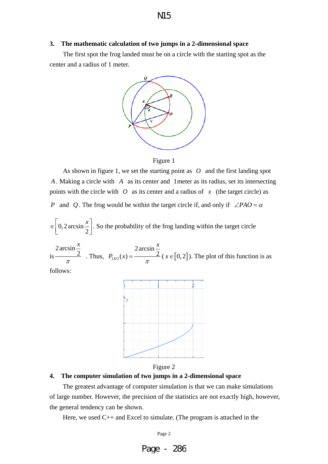#### **3. The mathematic calculation of two jumps in a 2-dimensional space**

The first spot the frog landed must be on a circle with the starting spot as the center and a radius of 1 meter.





As shown in figure 1, we set the starting point as *O* and the first landing spot *A* . Making a circle with *A* as its center and 1meter as its radius, set its intersecting points with the circle with  $O$  as its center and a radius of  $x$  (the target circle) as *P* and *Q*. The frog would be within the target circle if, and only if  $\angle PAO = \alpha$ 

$$
\in \left[0, 2\arcsin\frac{x}{2}\right].
$$
 So the probability of the frog landing within the target circle

is 2arcsin 2 *x*  $\frac{2}{\pi}$  . Thus,  $P_{2D2}$ 2arcsin  $b_2(x) = \frac{2x + 2}{x}$ *x*  $P_{2D2}(x) = \frac{2}{\pi}$  ( $x \in [0,2]$ ). The plot of this function is as

follows:



Figure 2

#### **4. The computer simulation of two jumps in a 2-dimensional space**

The greatest advantage of computer simulation is that we can make simulations of large number. However, the precision of the statistics are not exactly high, however, the general tendency can be shown.

Here, we used C++ and Excel to simulate. (The program is attached in the

Page 2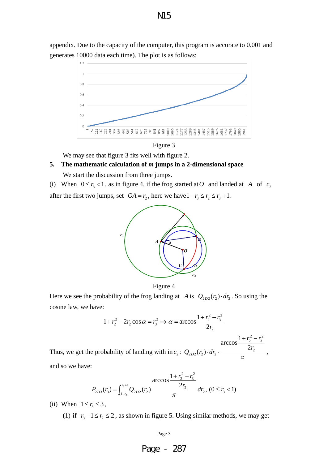appendix. Due to the capacity of the computer, this program is accurate to 0.001 and generates 10000 data each time). The plot is as follows:





We may see that figure 3 fits well with figure 2.

# **5. The mathematic calculation of** *m* **jumps in a 2-dimensional space**  We start the discussion from three jumps.

(i) When  $0 \le r_3 < 1$ , as in figure 4, if the frog started at *O* and landed at *A* of  $c_2$ 

after the first two jumps, set  $OA = r_2$ , here we have  $1 - r_3 \le r_2 \le r_3 + 1$ .



Figure 4

Here we see the probability of the frog landing at *A* is  $Q_{2D2}(r_1) \cdot dr_2$ . So using the cosine law, we have:

$$
1 + r_2^2 - 2r_2 \cos \alpha = r_3^2 \implies \alpha = \arccos \frac{1 + r_2^2 - r_3^2}{2r_2}
$$

Thus, we get the probability of landing with in  $c_2$ : 2  $\sqrt{2}$ 2  $'3$  $Q_{2D2}(r_2) \cdot dr_2 \cdot \frac{2r_2}{r_2}$ 1 arccos  $_{D2}(r_2) \cdot dr_2 \cdot \frac{2}{r_1^2}$  $r_2^2 - r$  $Q_{2D2}(r_2) \cdot dr_2 \cdot \frac{2r_1}{\pi}$  $+r_2^2$  –  $dr_1 \cdot \frac{2r_2}{r_1}$ , and so we have:

$$
P_{2D3}(r_3) = \int_{1-r_3}^{r_3+1} Q_{2D2}(r_2) \frac{\arccos\frac{1+r_2^2-r_3^2}{2r_2}}{\pi} dr_2, \ (0 \le r_3 < 1)
$$

(ii) When  $1 \le r_1 \le 3$ ,

(1) if  $r_3 - 1 \le r_2 \le 2$ , as shown in figure 5. Using similar methods, we may get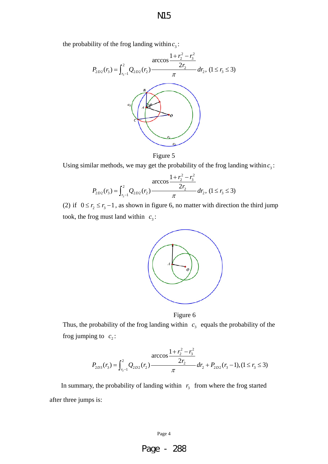the probability of the frog landing within  $c_3$ :



Figure 5

Using similar methods, we may get the probability of the frog landing within  $c_3$ :

$$
P_{2D2}(r_3) = \int_{r_3-1}^{2} Q_{2D2}(r_2) \frac{\arccos\frac{1+r_2^2-r_3^2}{2r_2}}{\pi} dr_2, (1 \le r_3 \le 3)
$$

(2) if  $0 \le r_2 \le r_3 - 1$ , as shown in figure 6, no matter with direction the third jump took, the frog must land within  $c_3$ :



Figure 6

Thus, the probability of the frog landing within  $c_3$  equals the probability of the frog jumping to  $c_2$ :

$$
P_{2D3}(r_3) = \int_{r_3-1}^{2} Q_{2D2}(r_2) \frac{\arccos\frac{1+r_2^2-r_3^2}{2r_2}}{\pi} dr_2 + P_{2D2}(r_3-1), (1 \le r_3 \le 3)
$$

In summary, the probability of landing within  $r_3$  from where the frog started after three jumps is:

Page 4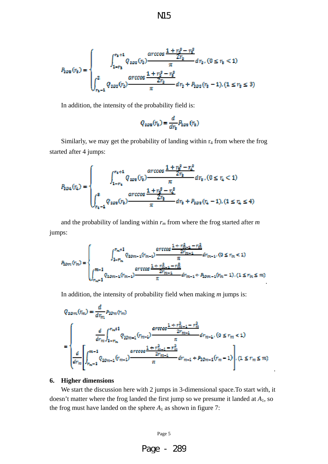$$
P_{2D\mathbb{R}}(r_{\mathbf{B}}) = \begin{cases} \int_{1-r_{\mathbf{B}}}^{r_{\mathbf{B}}+1} Q_{2D\mathbb{R}}(r_{\mathbf{B}}) \frac{\arccos\frac{1+r_{\mathbf{B}}^2-r_{\mathbf{B}}^2}{2r_{\mathbf{B}}} dr_{\mathbf{B}}, (0 \le r_{\mathbf{B}} < 1) \\ \int_{r_{\mathbf{B}}-1}^2 Q_{2D\mathbb{R}}(r_{\mathbf{B}}) \frac{\arccos\frac{1+r_{\mathbf{B}}^2-r_{\mathbf{B}}^2}{2r_{\mathbf{B}}} dr_{\mathbf{B}} + P_{2D\mathbb{R}}(r_{\mathbf{B}}-1), (1 \le r_{\mathbf{B}} \le 3) \end{cases}
$$

In addition, the intensity of the probability field is:

$$
Q_{\text{SDB}}(r_{\text{b}}) = \frac{d}{dr_{\text{b}}} P_{\text{DDB}}(r_{\text{b}})
$$

Similarly, we may get the probability of landing within  $r_4$  from where the frog started after 4 jumps:

$$
P_{2D4}(r_4) = \begin{cases} \int_{1-r_4}^{r_4+1} Q_{2D2}(r_2) \frac{\arccos\frac{1+r_2^2-r_4^2}{2r_2}}{\pi} dr_2 \cdot (0 \le r_4 < 1) \\ \int_{r_4-1}^{2} Q_{2D2}(r_2) \frac{\arccos\frac{1+r_2^2-r_4^2}{2r_2}}{\pi} dr_2 + P_{2D2}(r_4-1) \cdot (1 \le r_4 \le 4) \end{cases}
$$

and the probability of landing within  $r_m$  from where the frog started after  $m$ jumps:

$$
P_{2\text{gen}}(r_{m}) = \begin{cases} \int_{1-r_{m}}^{r_{m}+1} Q_{2\text{gen}-1}(r_{m-1}) \frac{\arccos\frac{1+r_{m-1}^{2}-r_{m}^{2}}{2r_{m-1}}}{\pi} dr_{m-1}, (0 \leq r_{m} < 1) \\ \int_{r_{m}-1}^{m-1} Q_{2\text{gen}-1}(r_{m-1}) \frac{\arccos\frac{1+r_{m-1}^{2}-r_{m}^{2}}{2r_{m-1}}}{\pi} dr_{m-1} + P_{2\text{on}-1}(r_{m} - 1), (1 \leq r_{m} \leq m) \end{cases}
$$

.

.

In addition, the intensity of probability field when making *m* jumps is:

$$
\begin{split} Q_{2Dm}(r_m) &= \frac{d}{dr_m} P_{2Dm}(r_m) \\ &= \left\{ \begin{aligned} &\frac{d}{dr_m} \int_{1-r_m}^{r_m+1} Q_{2Dm-1}(r_{m-1}) \frac{arccos\frac{1+r_{m-1}^2-r_m^2}{2r_{m-1}}}{\pi} dr_{m-1}, (0 \leq r_m < 1) \\ &\frac{d}{dr_m} \left[ \int_{r_m-1}^{m-1} Q_{2Dm-1}(r_{m-1}) \frac{arccos\frac{1+r_{m-1}^2-r_m^2}{2r_{m-1}}}{\pi} dr_{m-1} + P_{2Dm-1}(r_m-1) \right], (1 \leq r_m \leq m) \end{aligned} \right. \end{split}
$$

#### **6. Higher dimensions**

 We start the discussion here with 2 jumps in 3-dimensional space.To start with, it doesn't matter where the frog landed the first jump so we presume it landed at *A*1, so the frog must have landed on the sphere  $A_1$  as shown in figure 7:



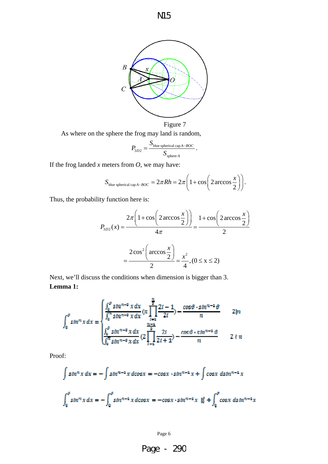

As where on the sphere the frog may land is random,

$$
P_{3D2} = \frac{S_{\text{blue spherical cap }A - BOC}}{S_{\text{sphere }A}}.
$$

If the frog landed *x* meters from *O*, we may have:

$$
S_{blue spherical cap A-BOC} = 2\pi R h = 2\pi \left(1 + \cos \left(2 \arccos \frac{x}{2}\right)\right).
$$

Thus, the probability function here is:

$$
P_{3D2}(x) = \frac{2\pi \left(1 + \cos\left(2 \arccos\frac{x}{2}\right)\right)}{4\pi} = \frac{1 + \cos\left(2 \arccos\frac{x}{2}\right)}{2}
$$

$$
= \frac{2\cos^2\left(\arccos\frac{x}{2}\right)}{2} = \frac{x^2}{4}, (0 \le x \le 2)
$$

Next, we'll discuss the conditions when dimension is bigger than 3. **Lemma 1:** 

$$
\int_0^{\theta} \sin^n x \, dx = \begin{cases} \frac{\int_0^{\theta} \sin^{n-2} x \, dx}{\int_0^m \sin^{n-2} x \, dx} (\pi \prod_{i=1}^{\frac{n}{2}} \frac{2i-1}{2i}) - \frac{\cos \theta \cdot \sin^{n-2} \theta}{n} & 2|n \\ \frac{\int_0^{\theta} \sin^{n-2} x \, dx}{\int_0^m \sin^{n-2} x \, dx} (2 \prod_{i=1}^{\frac{n}{2}} \frac{2i}{2i+1}) - \frac{\cos \theta \cdot \sin^{n-2} \theta}{n} & 2 \nmid n \end{cases}
$$

Proof:

$$
\int \sin^n x \, dx = -\int \sin^{n-4} x \, d\cos x = -\cos x \cdot \sin^{n-4} x + \int \cos x \, d\sin^{n-4} x
$$

$$
\int_0^\theta \sin^n x \, dx = -\int_0^\theta \sin^{n-4} x \, d\cos x = -\cos x \cdot \sin^{n-4} x + \int_0^\theta \cos x \, d\sin^{n-4} x
$$

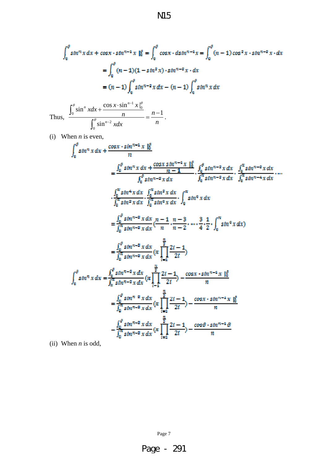$$
\mathbf{M}5
$$

$$
\int_0^{\theta} \sin^n x \, dx + \cos x \cdot \sin^{n-1} x \Big|_0^{\theta} = \int_0^{\theta} \cos x \cdot \sin^{n-1} x = \int_0^{\theta} (n-1) \cos^2 x \cdot \sin^{n-2} x \cdot dx
$$

$$
= \int_0^{\theta} (n-1)(1 - \sin^2 x) \cdot \sin^{n-2} x \cdot dx
$$

$$
= (n-1) \int_0^{\theta} \sin^{n-2} x \, dx - (n-1) \int_0^{\theta} \sin^n x \, dx
$$
Thus, 
$$
\frac{\int_0^{\theta} \sin^n x \, dx + \frac{\cos x \cdot \sin^{n-1} x \Big|_0^{\theta}}{n}}{\int_0^{\theta} \sin^{n-2} x \, dx} = \frac{n-1}{n}.
$$

(i) When *n* is even,

$$
\int_{0}^{0} \sin^{n} x \, dx + \frac{\cos x \cdot \sin^{n-1} x}{n} \frac{16}{n}
$$
\n
$$
= \frac{\int_{0}^{0} \sin^{n} x \, dx + \frac{\cos x \sin^{n-1} x}{n-1} \cdot \int_{0}^{0} \sin^{n-2} x \, dx}{\int_{0}^{0} \sin^{n-2} x \, dx} \cdot \frac{\int_{0}^{n} \sin^{n-2} x \, dx}{\int_{0}^{n} \sin^{n-2} x \, dx} \cdot \frac{\int_{0}^{n} \sin^{n-2} x \, dx}{\int_{0}^{n} \sin^{2} x \, dx} \cdot \frac{\int_{0}^{n} \sin^{2} x \, dx}{\int_{0}^{n} \sin^{2} x \, dx} \cdot \frac{\int_{0}^{n} \sin^{2} x \, dx}{\int_{0}^{n} \sin^{2} x \, dx} \cdot \int_{0}^{n} \sin^{0} x \, dx
$$
\n
$$
= \frac{\int_{0}^{0} \sin^{n-2} x \, dx}{\int_{0}^{n} \sin^{n-2} x \, dx} \cdot \frac{n-1}{n-2} \cdot \frac{n-3}{n-2} \cdot \frac{3}{n} \cdot \frac{1}{2} \cdot \int_{0}^{n} \sin^{0} x \, dx
$$
\n
$$
= \frac{\int_{0}^{0} \sin^{n-2} x \, dx}{\int_{0}^{n} \sin^{n-2} x \, dx} \cdot \frac{\frac{n}{2}}{\int_{1}^{n} \frac{2i-1}{2i}} \cdot \frac{2i-1}{2i}
$$
\n
$$
\int_{0}^{0} \sin^{n} x \, dx = \frac{\int_{0}^{0} \sin^{n-2} x \, dx}{\int_{n}^{n} \sin^{n-2} x \, dx} \cdot \frac{\frac{n}{2}}{\int_{1}^{n} \frac{2i-1}{2i}} \cdot \frac{\cos x \cdot \sin^{n-1} x \cdot \frac{16}{i}}{n}
$$
\n
$$
= \frac{\int_{0}^{0} \sin^{n} x \, dx}{\int_{0}^{n} \sin^{n-2} x \, dx} \cdot \frac{\frac{n}{2}}{\int_{1}^{n} \frac{2i-1}{2i}} \cdot \frac{\cos x \cdot \sin^{n-1} x \cdot \frac{16}{i
$$

(ii) When *n* is odd,

Page 7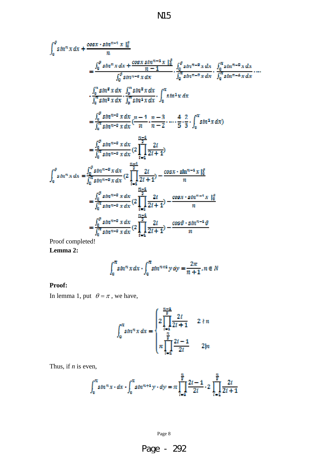$$
\int_{0}^{a} \sin^{n} x \, dx + \frac{\cos x \cdot \sin^{n-1} x \mid_{0}^{a}}{n}
$$
\n
$$
= \frac{\int_{0}^{a} \sin^{n} x \, dx + \frac{\cos x \sin^{n-1} x \mid_{0}^{a}}{n-1} \cdot \int_{0}^{a} \sin^{n-2} x \, dx \cdot \int_{0}^{n} \sin^{n-2} x \, dx}{\int_{0}^{a} \sin^{n-2} x \, dx} \cdot \frac{\int_{0}^{n} \sin^{n-2} x \, dx}{\int_{0}^{n} \sin^{n-2} x \, dx} \cdot \cdots
$$
\n
$$
\cdot \frac{\int_{0}^{n} \sin^{n} x \, dx}{\int_{0}^{n} \sin^{n} x \, dx} \cdot \int_{0}^{n} \sin^{2} x \, dx \cdot \int_{0}^{n} \sin^{2} x \, dx
$$
\n
$$
= \frac{\int_{0}^{a} \sin^{n-2} x \, dx}{\int_{0}^{n} \sin^{n-2} x \, dx} \cdot \frac{n-1}{n-2} \cdot \cdots \cdot \frac{4}{5} \cdot \frac{2}{3} \cdot \int_{0}^{n} \sin^{2} x \, dx
$$
\n
$$
= \frac{\int_{0}^{a} \sin^{n-2} x \, dx}{\int_{0}^{n} \sin^{n-2} x \, dx} \cdot \left(2 \prod_{i=4}^{n-2} \frac{2i}{2i+1}\right)
$$
\n
$$
\int_{0}^{a} \sin^{n} x \, dx = \frac{\int_{0}^{a} \sin^{n-2} x \, dx}{\int_{0}^{n} \sin^{n-2} x \, dx} \cdot \left(2 \prod_{i=4}^{n-4} \frac{2i}{2i+1}\right) - \frac{\cos x \cdot \sin^{n-2} x \mid_{0}^{a}}{n}
$$
\n
$$
= \frac{\int_{0}^{a} \sin^{n-2} x \, dx}{\int_{0}^{n} \sin^{n-2} x \, dx} \cdot \left(2 \prod_{i=4}^{n-4} \frac{2i}{2i+1}\right) - \frac{\cos x \cdot \sin^{n-1} x \mid_{0}^{a}}{n}
$$
\n
$$
= \frac{\int_{0}^{a} \sin^{n-2} x \, dx}{\int
$$

Proof completed!

**Lemma 2:** 

$$
\int_0^{\pi} \sin^n x \, dx \cdot \int_0^{\pi} \sin^{n+1} y \, dy = \frac{2\pi}{n+1}, n \in \mathbb{N}
$$

#### **Proof:**

In lemma 1, put  $\theta = \pi$ , we have,

$$
\int_0^{\pi} \sin^n x \, dx = \begin{cases} 2 \prod_{i=1}^{\frac{n-4}{2}} \frac{2i}{2i+1} & 2 \nmid n \\ \pi \prod_{i=1}^{\frac{n}{2}} \frac{2i-1}{2i} & 2 \mid n \end{cases}
$$

Thus, if *n* is even,

$$
\int_0^{\pi} \sin^n x \cdot dx \cdot \int_0^{\pi} \sin^{n+1} y \cdot dy = \pi \prod_{i=1}^{\frac{n}{2}} \frac{2i-1}{2i} \cdot 2 \prod_{i=1}^{\frac{n}{2}} \frac{2i}{2i+1}
$$

Page 8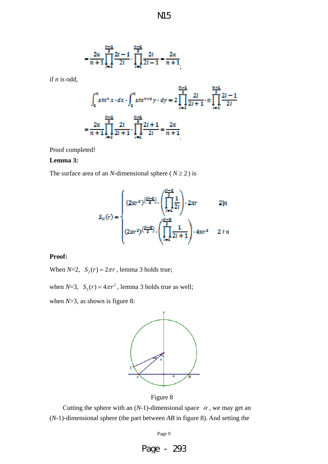$$
\mathbf{M}5
$$

$$
= \frac{2\pi}{n+1} \prod_{i=1}^{\frac{n-3}{2}} \frac{2i-1}{2i} \cdot \prod_{i=1}^{\frac{n-3}{2}} \frac{2i}{2i-1} = \frac{2\pi}{n+1}
$$

if *n* is odd,

$$
\int_0^{\pi} \sin^n x \cdot dx \cdot \int_0^{\pi} \sin^{n+1} y \cdot dy = 2 \prod_{i=1}^{\frac{n-4}{2}} \frac{2i}{2i+1} \cdot \pi \prod_{i=1}^{\frac{n+4}{2}} \frac{2i-1}{2i}
$$

$$
= \frac{2\pi}{n+1} \prod_{i=1}^{\frac{n-4}{2}} \frac{2i}{2i+1} \cdot \prod_{i=1}^{\frac{n-4}{2}} \frac{2i+1}{2i} = \frac{2\pi}{n+1}
$$

Proof completed!

#### **Lemma 3:**

The surface area of an *N*-dimensional sphere ( $N \ge 2$ ) is

$$
S_{N}(r) = \begin{cases} (2\pi r^{2})^{\left(\frac{N-2}{2}\right)} \cdot \left(\prod_{i=1}^{\frac{N-2}{2}} \frac{1}{2i}\right) \cdot 2\pi r & 2|n\\ (2\pi r^{2})^{\left(\frac{N-2}{2}\right)} \cdot \left(\prod_{i=1}^{\frac{N-2}{2}} \frac{1}{2i+1}\right) \cdot 4\pi r^{2} & 2 \nmid n \end{cases}
$$

**Proof:** 

When  $N=2$ ,  $S_2(r) = 2\pi r$ , lemma 3 holds true;

when  $N=3$ ,  $S_3(r) = 4\pi r^2$ , lemma 3 holds true as well;

when *N*>3, as shown is figure 8:



Figure 8

Cutting the sphere with an  $(N-1)$ -dimensional space  $\alpha$ , we may get an (*N*-1)-dimensional sphere (the part between *AB* in figure 8). And setting the

Page 9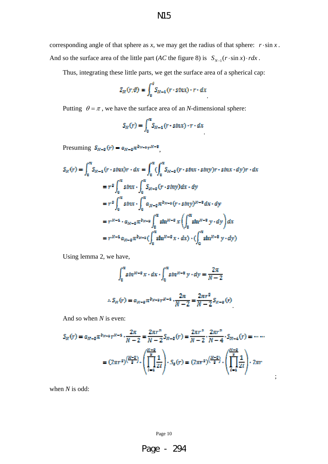corresponding angle of that sphere as *x*, we may get the radius of that sphere:  $r \cdot \sin x$ . And so the surface area of the little part (*AC* the figure 8) is  $S_{N-1}(r \cdot \sin x) \cdot r dx$ .

Thus, integrating these little parts, we get the surface area of a spherical cap:

$$
Z_N(r,\vartheta) = \int_0^{\vartheta} S_{N-1}(r \cdot \sin x) \cdot r \cdot dx
$$

Putting  $\theta = \pi$ , we have the surface area of an *N*-dimensional sphere:

$$
S_N(r) = \int_0^{\infty} S_{N-4}(r \cdot \sin x) \cdot r \cdot dx
$$

Presuming  $S_{N-2}(r)=a_{N-2}\pi^{b_{N-2}}r^{N-2},$ 

$$
S_N(r) = \int_0^{\pi} S_{N-4}(r \cdot \sin x) r \cdot dx = \int_0^{\pi} (\int_0^{\pi} S_{N-4}(r \cdot \sin x \cdot \sin y) r \cdot \sin x \cdot dy) r \cdot dx
$$
  
\n
$$
= r^2 \int_0^{\pi} \sin x \cdot \int_0^{\pi} S_{N-4}(r \cdot \sin y) dx \cdot dy
$$
  
\n
$$
= r^2 \int_0^{\pi} \sin x \cdot \int_0^{\pi} a_{N-2} \pi^{2N-4} (r \cdot \sin y)^{N-8} dx \cdot dy
$$
  
\n
$$
= r^{N-4} \cdot a_{N-2} \pi^{2N-2} \int_0^{\pi} \sin^{N-2} x \left( \int_0^{\pi} \sin^{N-8} y \cdot dy \right) dx
$$
  
\n
$$
= r^{N-4} a_{N-2} \pi^{2N-4} (\int_0^{\pi} \sin^{N-8} x \cdot dx) \cdot (\int_0^{\pi} \sin^{N-8} y \cdot dy)
$$

Using lemma 2, we have,

$$
\int_0^{\pi} \sin^{m-2} x \cdot dx \cdot \int_0^{\pi} \sin^{m-2} y \cdot dy = \frac{2\pi}{N-2}
$$

$$
S_{\kappa}(r) = a_{\kappa - \sigma} \pi^{b_{\kappa - \sigma} r^{2\sigma - 4}} \cdot \frac{2\pi}{N - 2} = \frac{2\pi r^2}{N - 2} S_{\kappa - \sigma}(r)
$$

And so when *N* is even:

$$
S_N(r) = a_{N-2} \pi^{b_{N-2}} r^{N-4} \cdot \frac{2\pi}{N-2} = \frac{2\pi r^2}{N-2} S_{N-2}(r) = \frac{2\pi r^2}{N-2} \cdot \frac{2\pi r^2}{N-4} \cdot S_{N-4}(r) = \cdots
$$

$$
= (2\pi r^2)^{\left(\frac{N-2}{2}\right)} \cdot \left(\prod_{i=4}^{\frac{N-2}{2}} \frac{1}{2i}\right) \cdot S_2(r) = (2\pi r^2)^{\left(\frac{N-2}{2}\right)} \cdot \left(\prod_{i=4}^{\frac{N-2}{2}} \frac{1}{2i}\right) \cdot 2\pi r
$$

;

when *N* is odd:

Page 10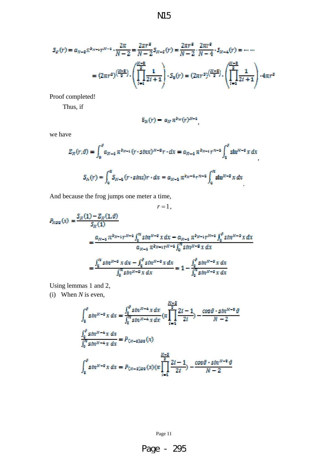$$
\rm\,M5
$$

$$
S_{X}(r) = \alpha_{X-2} \pi^{b_{N-1}} r^{N-1} \cdot \frac{2\pi}{N-2} = \frac{2\pi r^{2}}{N-2} S_{N-2}(r) = \frac{2\pi r^{2}}{N-2} \cdot \frac{2\pi r^{2}}{N-4} \cdot S_{N-4}(r) = \dots
$$

$$
= (2\pi r^{2})^{\left(\frac{N-2}{2}\right)} \cdot \left(\prod_{i=1}^{\frac{N-2}{2}} \frac{1}{2i+1}\right) \cdot S_{S}(r) = (2\pi r^{2})^{\left(\frac{N-2}{2}\right)} \cdot \left(\prod_{i=1}^{\frac{N-2}{2}} \frac{1}{2i+1}\right) \cdot 4\pi r^{2}
$$

Proof completed!

Thus, if

$$
S_N(r) = a_N \pi^{b_N}(r)^{N-1}
$$

we have

$$
Z_N(r,\theta) = \int_0^{\theta} a_{N-4} \pi^{b_{N-4}} (r \cdot \sin x)^{N-2} r \cdot dx = a_{N-4} \pi^{b_{N-4}} r^{N-4} \int_0^{\theta} \sin^{N-2} x \, dx
$$

$$
S_N(r) = \int_0^{\pi} S_{N-4} (r \cdot \sin x) r \cdot dx = a_{N-4} \pi^{b_N - 4} r^{N-4} \int_0^{\pi} \sin^{N-2} x \, dx
$$

And because the frog jumps one meter a time,

 $r = 1$ ,  $P_{RDS}\left(x\right)=\frac{S_{N}(1)-Z_{N}(1,\vartheta)}{S_{N}(1)}$  $=\frac{a_{N-4}\,\pi^{b_{N-4}}r^{N-4}\int_{0}^{\pi}\sin^{N-2}x\,dx-a_{N-4}\,\pi^{b_{N-4}}r^{N-4}\int_{0}^{\theta}\sin^{N-2}x\,dx}{a_{N-4}\,\pi^{b_{N-4}}r^{N-4}\int_{0}^{\pi}\sin^{N-2}x\,dx}$  $=\frac{\int_0^\pi \sin^{N-\alpha} x\,dx-\int_0^\theta \sin^{N-\alpha} x\,dx}{\int_0^\pi \sin^{N-\alpha} x\,dx}=1-\frac{\int_0^\theta \sin^{N-\alpha} x\,dx}{\int_0^\pi \sin^{N-\alpha} x\,dx}$ 

Using lemmas 1 and 2,

(i) When *N* is even,

$$
\int_0^{\theta} \sin^{N-2} x \, dx = \frac{\int_0^{\theta} \sin^{N-4} x \, dx}{\int_0^{\pi} \sin^{N-4} x \, dx} \left( \pi \prod_{i=1}^{\frac{N-2}{2}} \frac{2i-1}{2i} \right) - \frac{\cos \theta \cdot \sin^{N-2} \theta}{N-2}
$$

$$
\frac{\int_0^{\theta} \sin^{N-4} x \, dx}{\int_0^{\pi} \sin^{N-4} x \, dx} = P_{(N-2)D2}(x)
$$

$$
\int_0^{\theta} \sin^{N-2} x \, dx = P_{(N-2)D2}(x) \left( \pi \prod_{i=1}^{\frac{N-2}{2}} \frac{2i-1}{2i} \right) - \frac{\cos \theta \cdot \sin^{N-2} \theta}{N-2}
$$

Page 11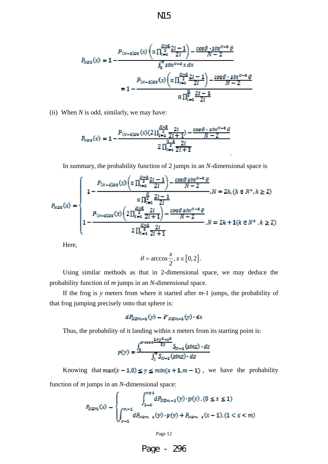$$
P_{N22}(x) = 1 - \frac{P_{(N-2)22}(x)\left(\pi \prod_{i=4}^{\frac{N-2}{2}} \frac{2i-1}{2i}\right) - \frac{\cos \theta \cdot \sin^{N-2} \theta}{N-2}}{\int_0^{\pi} \sin^{N-2} x \, dx}
$$

$$
= 1 - \frac{P_{(N-2)22}(x)\left(\pi \prod_{i=4}^{\frac{N-2}{2}} \frac{2i-1}{2i}\right) - \frac{\cos \theta \cdot \sin^{N-2} \theta}{N-2}}{\pi \prod_{i=4}^{\frac{N}{2}} \frac{2i-1}{2i}}
$$

(ii) When *N* is odd, similarly, we may have:

$$
P_{NDS}(x) = 1 - \frac{P_{(N-2)DS}(x)(2\prod_{t=1}^{\frac{N-2}{2}} \frac{2t}{2t+1}) - \frac{\cos\theta \cdot \sin^{N-2}\theta}{N-2}}{2\prod_{t=1}^{\frac{N-2}{2}} \frac{2t}{2t+1}}
$$

In summary, the probability function of 2 jumps in an *N*-dimensional space is

$$
P_{N22}(x) = \begin{cases} P_{(n-2)22}(x) \left( \pi \prod_{t=2}^{\frac{N-2}{2}} \frac{2t-1}{2t} \right) - \frac{\cos \theta \sin^{N-2} \theta}{N-2}, N = 2k, (k \in N^{+}, k \ge 2) \\ \pi \prod_{t=1}^{\frac{N}{2}} \frac{2t-1}{2t} \\ P_{(n-2)22}(x) \left( 2 \prod_{t=1}^{\frac{N-2}{2}} \frac{2t}{2t+1} \right) - \frac{\cos \theta \sin^{N-2} \theta}{N-2}, N = 2k + 1 (k \in N^{+}, k \ge 2) \\ 2 \prod_{t=1}^{\frac{N-2}{2}} \frac{2t}{2t+1} \end{cases}
$$

Here,

$$
\theta = \arccos \frac{x}{2}, x \in [0, 2].
$$

Using similar methods as that in 2-dimensional space, we may deduce the probability function of *m* jumps in an *N*-dimensional space.

If the frog is *y* meters from where it started after *m*-1 jumps, the probability of that frog jumping precisely onto that sphere is:

$$
dP_{RDM-4}(y) = P'_{RDM-4}(y) \cdot dx
$$

Thus, the probability of it landing within  $x$  meters from its starting point is:

$$
p(y) = \frac{\int_0^{\alpha \text{arrows}} \frac{4 + y^2 - x^2}{2y} S_{N-4}(\text{sinc}) \cdot dz}{\int_0^{\alpha} S_{N-4}(\text{sinc}) \cdot dz}
$$

Knowing that  $max(x - 1, 0) \le y \le min(x + 1, m - 1)$ , we have the probability function of *m* jumps in an *N*-dimensional space:

$$
P_{NDM}(x) = \begin{cases} \int_{1-x}^{x+1} dP_{NDM-4}(y) \cdot p(y) \cdot (0 \le x \le 1) \\ \int_{x-4}^{m-1} dP_{NDM-4}(y) \cdot p(y) + P_{NDM-4}(x-1) \cdot (1 < x < m) \end{cases}
$$

Page 12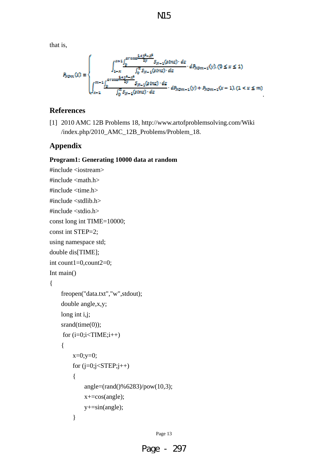that is,

$$
B_{NDm}(x) = \begin{cases} x + 1 \int_{0}^{x + 4 \int_{0}^{0} e^{x \cos \frac{1 + y^{2} - x^{2}}{2y}} S_{N-1}(s \ln z) \cdot dz} \cdot dP_{NDm-1}(y), (0 \le x \le 1) \\ \int_{x - 1}^{m - 1} \int_{0}^{e^{x \cos \frac{1 + y^{2} - x^{2}}{2y}} S_{N-1}(s \ln z) \cdot dz} \cdot dP_{NDm-1}(y) + P_{NDm-1}(x - 1), (1 < x \le m) \end{cases}
$$

.

## **References**

[1] 2010 AMC 12B Problems 18, http://www.artofproblemsolving.com/Wiki /index.php/2010\_AMC\_12B\_Problems/Problem\_18.

# **Appendix**

#### **Program1: Generating 10000 data at random**

#include <iostream> #include <math.h> #include <time.h> #include <stdlib.h> #include <stdio.h> const long int TIME=10000; const int STEP=2; using namespace std; double dis[TIME]; int count1=0,count2=0; Int main() { freopen("data.txt","w",stdout); double angle,x,y; long int i,j; srand(time(0)); for  $(i=0; i < TIME; i++)$  {  $x=0; y=0;$ for  $(j=0; j<$ STEP; $j++)$  { angle=(rand()%6283)/pow(10,3); x+=cos(angle); y+=sin(angle); }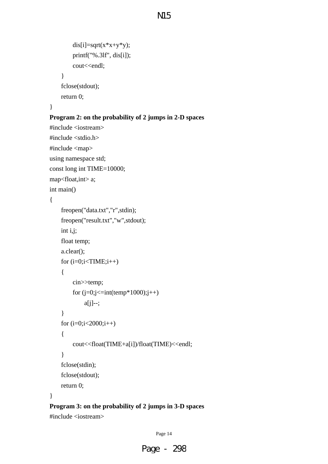```
dis[i]=sqrt(x*x+y*y); printf("%.3lf", dis[i]); 
     cout<<endl;
 } 
 fclose(stdout); 
 return 0;
```
#### }

#### **Program 2: on the probability of 2 jumps in 2-D spaces**

#include <iostream> #include <stdio.h> #include <map> using namespace std; const long int TIME=10000; map<float,int> a; int main() {

```
 freopen("data.txt","r",stdin); 
 freopen("result.txt","w",stdout); 
 int i,j; 
 float temp; 
 a.clear(); 
for (i=0; i < TIME; i++) { 
      cin>>temp; 
     for (i=0; j<=int(temp*1000); j++) a[j]--; 
 } 
 for (i=0;i<2000;i++) 
 { 
      cout<<float(TIME+a[i])/float(TIME)<<endl; 
 } 
 fclose(stdin); 
 fclose(stdout); 
 return 0;
```
#### }

# **Program 3: on the probability of 2 jumps in 3-D spaces**

#include <iostream>